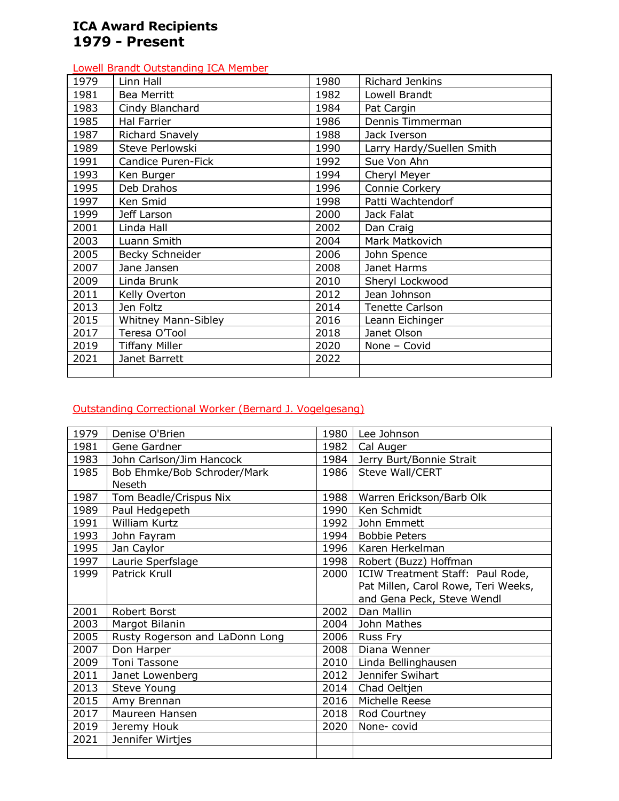# **ICA Award Recipients 1979 - Present**

#### Lowell Brandt Outstanding ICA Member

| 1979 | Linn Hall                  | 1980 | <b>Richard Jenkins</b>    |
|------|----------------------------|------|---------------------------|
| 1981 | Bea Merritt                | 1982 | Lowell Brandt             |
| 1983 | Cindy Blanchard            | 1984 | Pat Cargin                |
| 1985 | <b>Hal Farrier</b>         | 1986 | Dennis Timmerman          |
| 1987 | Richard Snavely            | 1988 | Jack Iverson              |
| 1989 | Steve Perlowski            | 1990 | Larry Hardy/Suellen Smith |
| 1991 | Candice Puren-Fick         | 1992 | Sue Von Ahn               |
| 1993 | Ken Burger                 | 1994 | Cheryl Meyer              |
| 1995 | Deb Drahos                 | 1996 | Connie Corkery            |
| 1997 | Ken Smid                   | 1998 | Patti Wachtendorf         |
| 1999 | Jeff Larson                | 2000 | Jack Falat                |
| 2001 | Linda Hall                 | 2002 | Dan Craig                 |
| 2003 | Luann Smith                | 2004 | Mark Matkovich            |
| 2005 | Becky Schneider            | 2006 | John Spence               |
| 2007 | Jane Jansen                | 2008 | Janet Harms               |
| 2009 | Linda Brunk                | 2010 | Sheryl Lockwood           |
| 2011 | Kelly Overton              | 2012 | Jean Johnson              |
| 2013 | Jen Foltz                  | 2014 | <b>Tenette Carlson</b>    |
| 2015 | <b>Whitney Mann-Sibley</b> | 2016 | Leann Eichinger           |
| 2017 | Teresa O'Tool              | 2018 | Janet Olson               |
| 2019 | <b>Tiffany Miller</b>      | 2020 | None - Covid              |
| 2021 | Janet Barrett              | 2022 |                           |
|      |                            |      |                           |

## Outstanding Correctional Worker (Bernard J. Vogelgesang)

| 1979 | Denise O'Brien                 | 1980 | Lee Johnson                         |
|------|--------------------------------|------|-------------------------------------|
| 1981 | Gene Gardner                   | 1982 | Cal Auger                           |
| 1983 | John Carlson/Jim Hancock       | 1984 | Jerry Burt/Bonnie Strait            |
| 1985 | Bob Ehmke/Bob Schroder/Mark    | 1986 | Steve Wall/CERT                     |
|      | <b>Neseth</b>                  |      |                                     |
| 1987 | Tom Beadle/Crispus Nix         | 1988 | Warren Erickson/Barb Olk            |
| 1989 | Paul Hedgepeth                 | 1990 | Ken Schmidt                         |
| 1991 | William Kurtz                  | 1992 | John Emmett                         |
| 1993 | John Fayram                    | 1994 | <b>Bobbie Peters</b>                |
| 1995 | Jan Caylor                     | 1996 | Karen Herkelman                     |
| 1997 | Laurie Sperfslage              | 1998 | Robert (Buzz) Hoffman               |
| 1999 | Patrick Krull                  | 2000 | ICIW Treatment Staff: Paul Rode,    |
|      |                                |      | Pat Millen, Carol Rowe, Teri Weeks, |
|      |                                |      | and Gena Peck, Steve Wendl          |
| 2001 | Robert Borst                   | 2002 | Dan Mallin                          |
| 2003 | Margot Bilanin                 | 2004 | John Mathes                         |
| 2005 | Rusty Rogerson and LaDonn Long | 2006 | <b>Russ Fry</b>                     |
| 2007 | Don Harper                     | 2008 | Diana Wenner                        |
| 2009 | Toni Tassone                   | 2010 | Linda Bellinghausen                 |
| 2011 | Janet Lowenberg                | 2012 | Jennifer Swihart                    |
| 2013 | Steve Young                    | 2014 | Chad Oeltjen                        |
| 2015 | Amy Brennan                    | 2016 | Michelle Reese                      |
| 2017 | Maureen Hansen                 | 2018 | Rod Courtney                        |
| 2019 | Jeremy Houk                    | 2020 | None-covid                          |
| 2021 | Jennifer Wirtjes               |      |                                     |
|      |                                |      |                                     |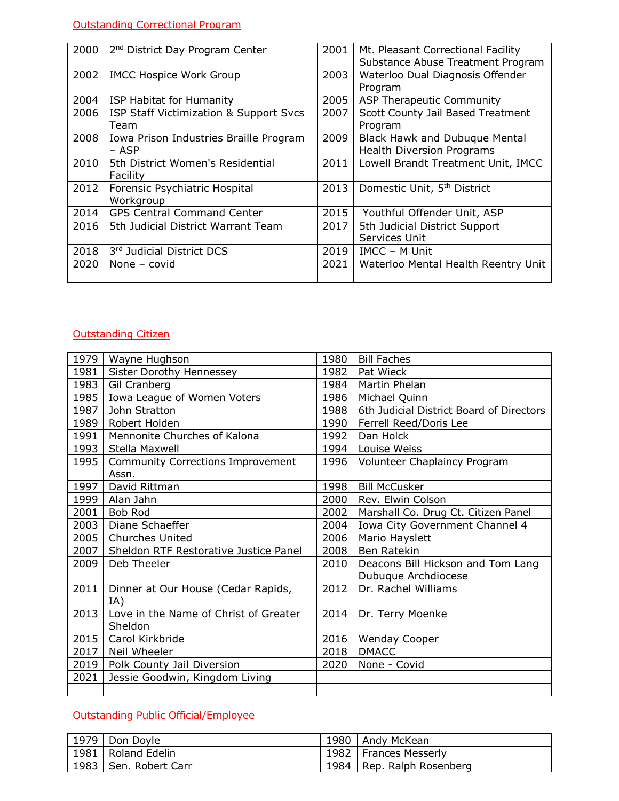# Outstanding Correctional Program

| 2000 | 2 <sup>nd</sup> District Day Program Center | 2001 | Mt. Pleasant Correctional Facility      |
|------|---------------------------------------------|------|-----------------------------------------|
|      |                                             |      | Substance Abuse Treatment Program       |
| 2002 | <b>IMCC Hospice Work Group</b>              | 2003 | Waterloo Dual Diagnosis Offender        |
|      |                                             |      | Program                                 |
| 2004 | ISP Habitat for Humanity                    | 2005 | ASP Therapeutic Community               |
| 2006 | ISP Staff Victimization & Support Svcs      | 2007 | Scott County Jail Based Treatment       |
|      | Team                                        |      | Program                                 |
| 2008 | Iowa Prison Industries Braille Program      | 2009 | <b>Black Hawk and Dubuque Mental</b>    |
|      | – ASP                                       |      | <b>Health Diversion Programs</b>        |
| 2010 | 5th District Women's Residential            | 2011 | Lowell Brandt Treatment Unit, IMCC      |
|      | Facility                                    |      |                                         |
| 2012 | Forensic Psychiatric Hospital               | 2013 | Domestic Unit, 5 <sup>th</sup> District |
|      | Workgroup                                   |      |                                         |
| 2014 | <b>GPS Central Command Center</b>           | 2015 | Youthful Offender Unit, ASP             |
| 2016 | 5th Judicial District Warrant Team          | 2017 | 5th Judicial District Support           |
|      |                                             |      | Services Unit                           |
| 2018 | 3rd Judicial District DCS                   | 2019 | IMCC – M Unit                           |
| 2020 | None $-$ covid                              | 2021 | Waterloo Mental Health Reentry Unit     |
|      |                                             |      |                                         |

#### Outstanding Citizen

| 1979 | Wayne Hughson                            | 1980 | <b>Bill Faches</b>                       |
|------|------------------------------------------|------|------------------------------------------|
| 1981 | Sister Dorothy Hennessey                 | 1982 | Pat Wieck                                |
| 1983 | Gil Cranberg                             | 1984 | Martin Phelan                            |
| 1985 | Iowa League of Women Voters              | 1986 | Michael Quinn                            |
| 1987 | John Stratton                            | 1988 | 6th Judicial District Board of Directors |
| 1989 | Robert Holden                            | 1990 | Ferrell Reed/Doris Lee                   |
| 1991 | Mennonite Churches of Kalona             | 1992 | Dan Holck                                |
| 1993 | Stella Maxwell                           | 1994 | Louise Weiss                             |
| 1995 | <b>Community Corrections Improvement</b> | 1996 | Volunteer Chaplaincy Program             |
|      | Assn.                                    |      |                                          |
| 1997 | David Rittman                            | 1998 | <b>Bill McCusker</b>                     |
| 1999 | Alan Jahn                                | 2000 | Rev. Elwin Colson                        |
| 2001 | Bob Rod                                  | 2002 | Marshall Co. Drug Ct. Citizen Panel      |
| 2003 | Diane Schaeffer                          | 2004 | Iowa City Government Channel 4           |
|      | 2005   Churches United                   | 2006 | Mario Hayslett                           |
| 2007 | Sheldon RTF Restorative Justice Panel    | 2008 | Ben Ratekin                              |
| 2009 | Deb Theeler                              | 2010 | Deacons Bill Hickson and Tom Lang        |
|      |                                          |      | Dubuque Archdiocese                      |
| 2011 | Dinner at Our House (Cedar Rapids,       | 2012 | Dr. Rachel Williams                      |
|      | IA)                                      |      |                                          |
| 2013 | Love in the Name of Christ of Greater    | 2014 | Dr. Terry Moenke                         |
|      | Sheldon                                  |      |                                          |
| 2015 | Carol Kirkbride                          | 2016 | Wenday Cooper                            |
| 2017 | Neil Wheeler                             | 2018 | <b>DMACC</b>                             |
| 2019 | Polk County Jail Diversion               | 2020 | None - Covid                             |
| 2021 | Jessie Goodwin, Kingdom Living           |      |                                          |
|      |                                          |      |                                          |

## Outstanding Public Official/Employee

| 1979   Don Doyle        |      | 1980   Andy McKean      |
|-------------------------|------|-------------------------|
| 1981   Roland Edelin    |      | 1982   Frances Messerly |
| 1983   Sen. Robert Carr | 1984 | Rep. Ralph Rosenberg    |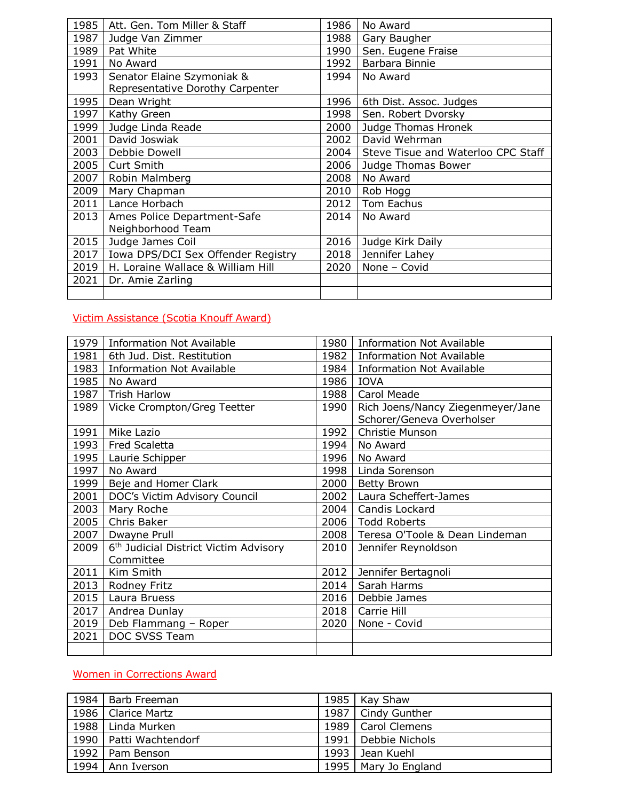| 1985 | Att. Gen. Tom Miller & Staff       | 1986 | No Award                           |
|------|------------------------------------|------|------------------------------------|
| 1987 | Judge Van Zimmer                   | 1988 | Gary Baugher                       |
| 1989 | Pat White                          | 1990 | Sen. Eugene Fraise                 |
| 1991 | No Award                           | 1992 | Barbara Binnie                     |
| 1993 | Senator Elaine Szymoniak &         | 1994 | No Award                           |
|      | Representative Dorothy Carpenter   |      |                                    |
| 1995 | Dean Wright                        | 1996 | 6th Dist. Assoc. Judges            |
| 1997 | Kathy Green                        | 1998 | Sen. Robert Dvorsky                |
| 1999 | Judge Linda Reade                  | 2000 | Judge Thomas Hronek                |
| 2001 | David Joswiak                      | 2002 | David Wehrman                      |
| 2003 | Debbie Dowell                      | 2004 | Steve Tisue and Waterloo CPC Staff |
| 2005 | Curt Smith                         | 2006 | Judge Thomas Bower                 |
| 2007 | Robin Malmberg                     | 2008 | No Award                           |
| 2009 | Mary Chapman                       | 2010 | Rob Hogg                           |
| 2011 | Lance Horbach                      | 2012 | Tom Eachus                         |
| 2013 | Ames Police Department-Safe        | 2014 | No Award                           |
|      | Neighborhood Team                  |      |                                    |
| 2015 | Judge James Coil                   | 2016 | Judge Kirk Daily                   |
| 2017 | Iowa DPS/DCI Sex Offender Registry | 2018 | Jennifer Lahey                     |
| 2019 | H. Loraine Wallace & William Hill  | 2020 | None - Covid                       |
| 2021 | Dr. Amie Zarling                   |      |                                    |
|      |                                    |      |                                    |

## Victim Assistance (Scotia Knouff Award)

| 1979 | <b>Information Not Available</b>                  | 1980 | <b>Information Not Available</b>  |
|------|---------------------------------------------------|------|-----------------------------------|
| 1981 | 6th Jud. Dist. Restitution                        | 1982 | <b>Information Not Available</b>  |
| 1983 | <b>Information Not Available</b>                  | 1984 | <b>Information Not Available</b>  |
| 1985 | No Award                                          | 1986 | <b>IOVA</b>                       |
| 1987 | <b>Trish Harlow</b>                               | 1988 | Carol Meade                       |
| 1989 | Vicke Crompton/Greg Teetter                       | 1990 | Rich Joens/Nancy Ziegenmeyer/Jane |
|      |                                                   |      | Schorer/Geneva Overholser         |
| 1991 | Mike Lazio                                        | 1992 | Christie Munson                   |
| 1993 | Fred Scaletta                                     | 1994 | No Award                          |
|      | 1995   Laurie Schipper                            | 1996 | No Award                          |
| 1997 | No Award                                          | 1998 | Linda Sorenson                    |
| 1999 | Beje and Homer Clark                              | 2000 | <b>Betty Brown</b>                |
| 2001 | DOC's Victim Advisory Council                     | 2002 | Laura Scheffert-James             |
| 2003 | Mary Roche                                        | 2004 | Candis Lockard                    |
| 2005 | Chris Baker                                       | 2006 | <b>Todd Roberts</b>               |
| 2007 | Dwayne Prull                                      | 2008 | Teresa O'Toole & Dean Lindeman    |
| 2009 | 6 <sup>th</sup> Judicial District Victim Advisory | 2010 | Jennifer Reynoldson               |
|      | Committee                                         |      |                                   |
| 2011 | Kim Smith                                         | 2012 | Jennifer Bertagnoli               |
| 2013 | Rodney Fritz                                      | 2014 | Sarah Harms                       |
| 2015 | Laura Bruess                                      | 2016 | Debbie James                      |
| 2017 | Andrea Dunlay                                     | 2018 | Carrie Hill                       |
| 2019 | Deb Flammang - Roper                              | 2020 | None - Covid                      |
| 2021 | DOC SVSS Team                                     |      |                                   |
|      |                                                   |      |                                   |

## Women in Corrections Award

| 1984   Barb Freeman      | 1985   Kay Shaw        |
|--------------------------|------------------------|
| 1986   Clarice Martz     | 1987   Cindy Gunther   |
| 1988   Linda Murken      | 1989   Carol Clemens   |
| 1990   Patti Wachtendorf | 1991   Debbie Nichols  |
| 1992   Pam Benson        | 1993   Jean Kuehl      |
| 1994   Ann Iverson       | 1995   Mary Jo England |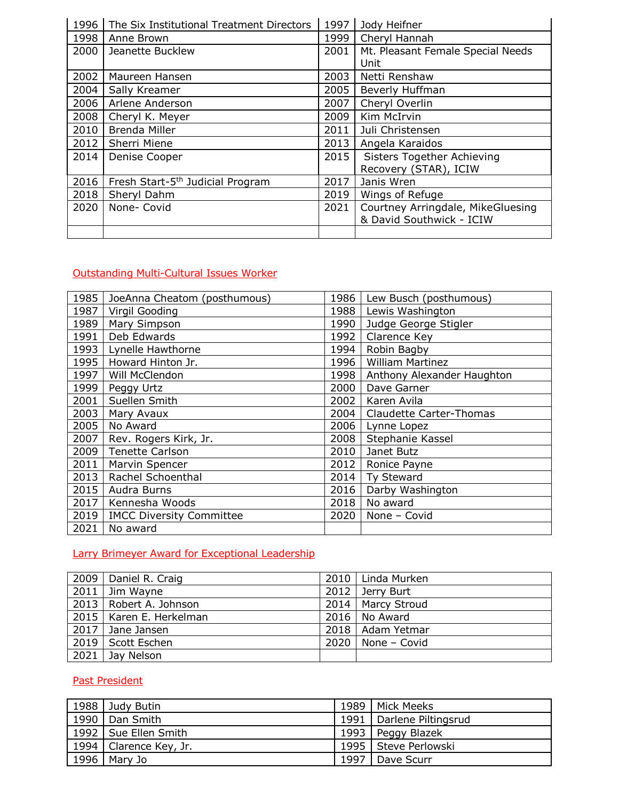| 1996 | The Six Institutional Treatment Directors    | 1997 | Jody Heifner                                                  |
|------|----------------------------------------------|------|---------------------------------------------------------------|
| 1998 | Anne Brown                                   | 1999 | Cheryl Hannah                                                 |
| 2000 | Jeanette Bucklew                             | 2001 | Mt. Pleasant Female Special Needs<br>Unit                     |
| 2002 | Maureen Hansen                               | 2003 | Netti Renshaw                                                 |
| 2004 | Sally Kreamer                                | 2005 | Beverly Huffman                                               |
| 2006 | Arlene Anderson                              | 2007 | Cheryl Overlin                                                |
| 2008 | Cheryl K. Meyer                              | 2009 | Kim McIrvin                                                   |
| 2010 | Brenda Miller                                | 2011 | Juli Christensen                                              |
| 2012 | Sherri Miene                                 | 2013 | Angela Karaidos                                               |
| 2014 | Denise Cooper                                | 2015 | <b>Sisters Together Achieving</b><br>Recovery (STAR), ICIW    |
| 2016 | Fresh Start-5 <sup>th</sup> Judicial Program | 2017 | Janis Wren                                                    |
| 2018 | Sheryl Dahm                                  | 2019 | Wings of Refuge                                               |
| 2020 | None- Covid                                  | 2021 | Courtney Arringdale, MikeGluesing<br>& David Southwick - ICIW |
|      |                                              |      |                                                               |

# Outstanding Multi-Cultural Issues Worker

| 1985 | JoeAnna Cheatom (posthumous)    | 1986 | Lew Busch (posthumous)         |
|------|---------------------------------|------|--------------------------------|
| 1987 | Virgil Gooding                  | 1988 | Lewis Washington               |
| 1989 | Mary Simpson                    | 1990 | Judge George Stigler           |
| 1991 | Deb Edwards                     | 1992 | Clarence Key                   |
| 1993 | Lynelle Hawthorne               | 1994 | Robin Bagby                    |
| 1995 | Howard Hinton Jr.               | 1996 | William Martinez               |
| 1997 | Will McClendon                  | 1998 | Anthony Alexander Haughton     |
| 1999 | Peggy Urtz                      | 2000 | Dave Garner                    |
| 2001 | Suellen Smith                   | 2002 | Karen Avila                    |
| 2003 | Mary Avaux                      | 2004 | <b>Claudette Carter-Thomas</b> |
| 2005 | No Award                        | 2006 | Lynne Lopez                    |
| 2007 | Rev. Rogers Kirk, Jr.           | 2008 | Stephanie Kassel               |
| 2009 | <b>Tenette Carlson</b>          | 2010 | Janet Butz                     |
| 2011 | Marvin Spencer                  | 2012 | Ronice Payne                   |
| 2013 | Rachel Schoenthal               | 2014 | Ty Steward                     |
| 2015 | Audra Burns                     | 2016 | Darby Washington               |
| 2017 | Kennesha Woods                  | 2018 | No award                       |
| 2019 | <b>IMCC Diversity Committee</b> | 2020 | None - Covid                   |
| 2021 | No award                        |      |                                |

# Larry Brimeyer Award for Exceptional Leadership

| 2009   Daniel R. Craig    |      | 2010   Linda Murken   |
|---------------------------|------|-----------------------|
| $2011$ Jim Wayne          | 2012 | Jerry Burt            |
| 2013   Robert A. Johnson  |      | 2014   Marcy Stroud   |
| 2015   Karen E. Herkelman |      | $2016$   No Award     |
| $2017$ Jane Jansen        |      | 2018   Adam Yetmar    |
| 2019   Scott Eschen       |      | $2020$   None - Covid |
| $2021$ Jay Nelson         |      |                       |

# Past President

|      | 1988 Judy Butin          |      | 1989   Mick Meeks          |
|------|--------------------------|------|----------------------------|
| 1990 | Dan Smith                |      | 1991   Darlene Piltingsrud |
|      | 1992   Sue Ellen Smith   |      | 1993   Peggy Blazek        |
|      | 1994   Clarence Key, Jr. |      | 1995   Steve Perlowski     |
| 1996 | Mary Jo                  | 1997 | Dave Scurr                 |